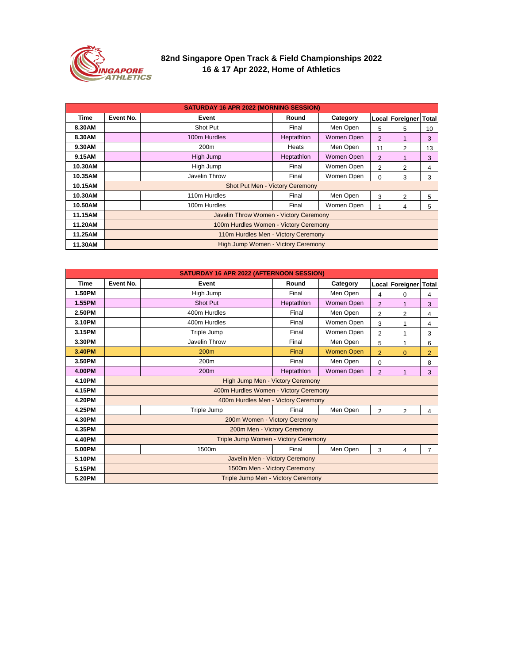| <b>SATURDAY 16 APR 2022 (MORNING SESSION)</b> |                                           |                  |              |            |                |                 |                |  |  |
|-----------------------------------------------|-------------------------------------------|------------------|--------------|------------|----------------|-----------------|----------------|--|--|
| <b>Time</b>                                   | <b>Event No.</b>                          | <b>Event</b>     | Round        | Category   |                | Local Foreigner | <b>Total</b>   |  |  |
| 8.30AM                                        |                                           | <b>Shot Put</b>  | Final        | Men Open   | 5              | 5               | 10             |  |  |
| 8.30AM                                        |                                           | 100m Hurdles     | Heptathlon   | Women Open | $\overline{2}$ |                 | 3 <sup>1</sup> |  |  |
| 9.30AM                                        |                                           | 200 <sub>m</sub> | <b>Heats</b> | Men Open   | 11             | 2               | 13             |  |  |
| 9.15AM                                        |                                           | High Jump        | Heptathlon   | Women Open | $\overline{2}$ |                 | 3              |  |  |
| 10.30AM                                       |                                           | High Jump        | Final        | Women Open | $\overline{2}$ | $\overline{2}$  | 4              |  |  |
| 10.35AM                                       |                                           | Javelin Throw    | Final        | Women Open | $\overline{0}$ | 3               | 3              |  |  |
| 10.15AM                                       | <b>Shot Put Men - Victory Ceremony</b>    |                  |              |            |                |                 |                |  |  |
| 10.30AM                                       |                                           | 110m Hurdles     | Final        | Men Open   | 3              | $\overline{2}$  | 5              |  |  |
| 10.50AM                                       |                                           | 100m Hurdles     | Final        | Women Open |                | 4               | 5.             |  |  |
| 11.15AM                                       | Javelin Throw Women - Victory Ceremony    |                  |              |            |                |                 |                |  |  |
| 11.20AM                                       | 100m Hurdles Women - Victory Ceremony     |                  |              |            |                |                 |                |  |  |
| 11.25AM                                       | 110m Hurdles Men - Victory Ceremony       |                  |              |            |                |                 |                |  |  |
| 11.30AM                                       | <b>High Jump Women - Victory Ceremony</b> |                  |              |            |                |                 |                |  |  |

| <b>Time</b>   | <b>Event No.</b>                          | <b>Event</b>                                | Round      | Category                             |                | Local Foreigner   Total |                |  |  |
|---------------|-------------------------------------------|---------------------------------------------|------------|--------------------------------------|----------------|-------------------------|----------------|--|--|
| <b>1.50PM</b> |                                           | High Jump                                   | Final      | Men Open                             | 4              | $\Omega$                | 4              |  |  |
| <b>1.55PM</b> |                                           | <b>Shot Put</b>                             | Heptathlon | Women Open                           | $\overline{2}$ |                         | 3              |  |  |
| <b>2.50PM</b> |                                           | 400m Hurdles                                | Final      | Men Open                             | $\overline{2}$ | 2                       | 4              |  |  |
| 3.10PM        |                                           | 400m Hurdles                                | Final      | Women Open                           | 3              |                         | 4              |  |  |
| 3.15PM        |                                           | Triple Jump                                 | Final      | Women Open                           | $\overline{2}$ |                         | 3              |  |  |
| 3.30PM        |                                           | <b>Javelin Throw</b>                        | Final      | Men Open                             | 5              |                         | 6              |  |  |
| 3.40PM        |                                           | 200m                                        | Final      | <b>Women Open</b>                    | $\overline{2}$ | $\Omega$                | $\overline{2}$ |  |  |
| 3.50PM        |                                           | 200m                                        | Final      | Men Open                             | $\overline{0}$ |                         | 8              |  |  |
| <b>4.00PM</b> |                                           | 200m                                        | Heptathlon | Women Open                           | $\overline{2}$ |                         | 3              |  |  |
| <b>4.10PM</b> | High Jump Men - Victory Ceremony          |                                             |            |                                      |                |                         |                |  |  |
| 4.15PM        | 400m Hurdles Women - Victory Ceremony     |                                             |            |                                      |                |                         |                |  |  |
| <b>4.20PM</b> | 400m Hurdles Men - Victory Ceremony       |                                             |            |                                      |                |                         |                |  |  |
| 4.25PM        |                                           | Triple Jump                                 | Final      | Men Open<br>$\overline{2}$<br>2<br>4 |                |                         |                |  |  |
| <b>4.30PM</b> |                                           | 200m Women - Victory Ceremony               |            |                                      |                |                         |                |  |  |
| 4.35PM        |                                           | 200m Men - Victory Ceremony                 |            |                                      |                |                         |                |  |  |
| <b>4.40PM</b> |                                           | <b>Triple Jump Women - Victory Ceremony</b> |            |                                      |                |                         |                |  |  |
| 5.00PM        |                                           | 1500m                                       | Final      | Men Open                             | 3              | 4                       | $\overline{7}$ |  |  |
| 5.10PM        |                                           | Javelin Men - Victory Ceremony              |            |                                      |                |                         |                |  |  |
| 5.15PM        |                                           | 1500m Men - Victory Ceremony                |            |                                      |                |                         |                |  |  |
| 5.20PM        | <b>Triple Jump Men - Victory Ceremony</b> |                                             |            |                                      |                |                         |                |  |  |



## **82nd Singapore Open Track & Field Championships 2022 16 & 17 Apr 2022, Home of Athletics**